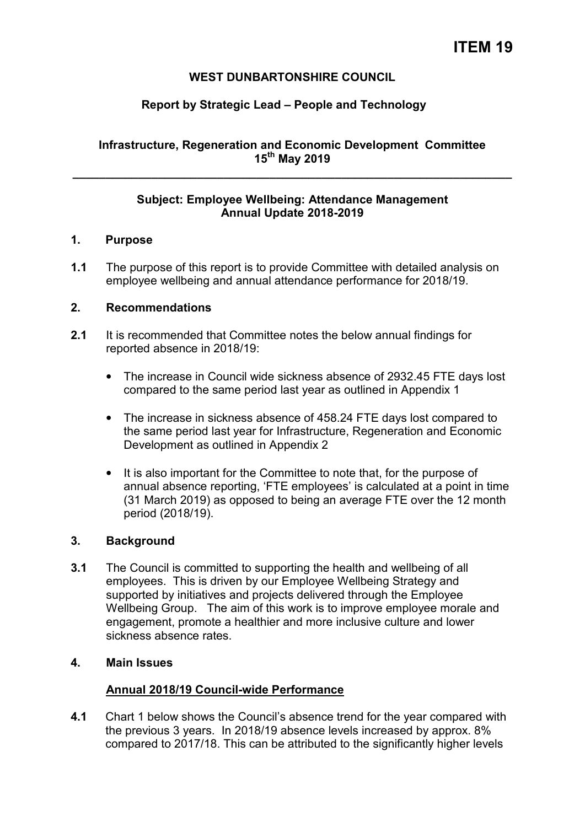# **WEST DUNBARTONSHIRE COUNCIL**

# **Report by Strategic Lead – People and Technology**

# **Infrastructure, Regeneration and Economic Development Committee 15th May 2019**

**\_\_\_\_\_\_\_\_\_\_\_\_\_\_\_\_\_\_\_\_\_\_\_\_\_\_\_\_\_\_\_\_\_\_\_\_\_\_\_\_\_\_\_\_\_\_\_\_\_\_\_\_\_\_\_\_\_\_\_\_\_\_\_\_\_\_\_** 

### **Subject: Employee Wellbeing: Attendance Management Annual Update 2018-2019**

### **1. Purpose**

**1.1** The purpose of this report is to provide Committee with detailed analysis on employee wellbeing and annual attendance performance for 2018/19.

### **2. Recommendations**

- **2.1** It is recommended that Committee notes the below annual findings for reported absence in 2018/19:
	- The increase in Council wide sickness absence of 2932.45 FTE days lost compared to the same period last year as outlined in Appendix 1
	- The increase in sickness absence of 458.24 FTE days lost compared to the same period last year for Infrastructure, Regeneration and Economic Development as outlined in Appendix 2
	- It is also important for the Committee to note that, for the purpose of annual absence reporting, 'FTE employees' is calculated at a point in time (31 March 2019) as opposed to being an average FTE over the 12 month period (2018/19).

### **3. Background**

**3.1** The Council is committed to supporting the health and wellbeing of all employees. This is driven by our Employee Wellbeing Strategy and supported by initiatives and projects delivered through the Employee Wellbeing Group. The aim of this work is to improve employee morale and engagement, promote a healthier and more inclusive culture and lower sickness absence rates.

### **4. Main Issues**

### **Annual 2018/19 Council-wide Performance**

**4.1** Chart 1 below shows the Council's absence trend for the year compared with the previous 3 years. In 2018/19 absence levels increased by approx. 8% compared to 2017/18. This can be attributed to the significantly higher levels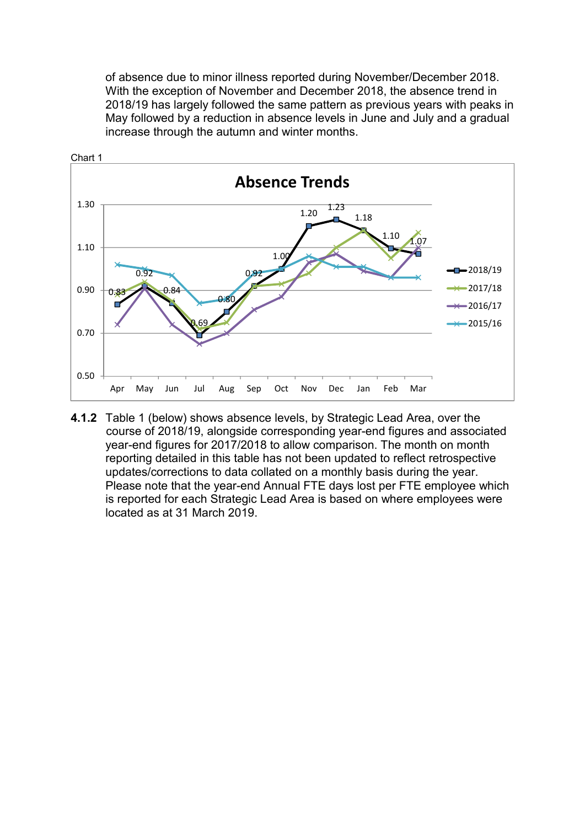of absence due to minor illness reported during November/December 2018. With the exception of November and December 2018, the absence trend in 2018/19 has largely followed the same pattern as previous years with peaks in May followed by a reduction in absence levels in June and July and a gradual increase through the autumn and winter months.



**4.1.2** Table 1 (below) shows absence levels, by Strategic Lead Area, over the course of 2018/19, alongside corresponding year-end figures and associated year-end figures for 2017/2018 to allow comparison. The month on month reporting detailed in this table has not been updated to reflect retrospective updates/corrections to data collated on a monthly basis during the year. Please note that the year-end Annual FTE days lost per FTE employee which is reported for each Strategic Lead Area is based on where employees were located as at 31 March 2019.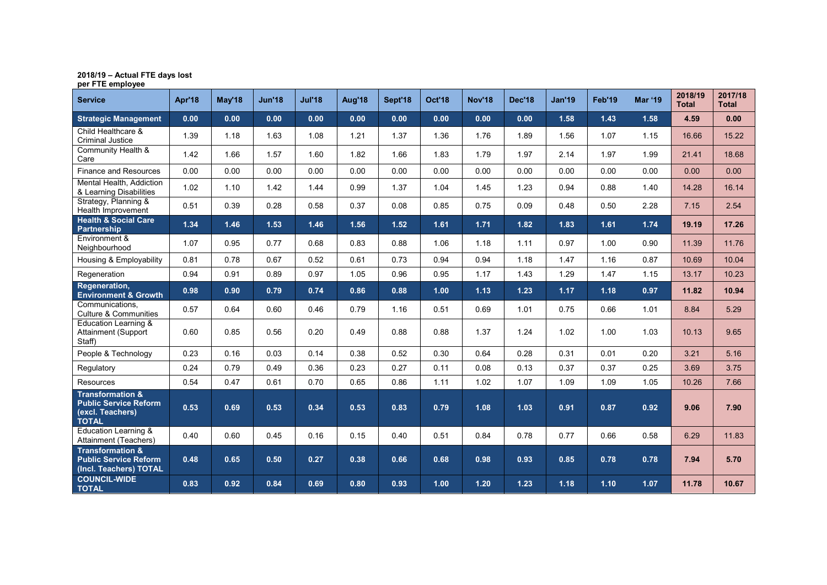# **2018/19 – Actual FTE days lost per FTE employee**

| <b>Service</b>                                                                                  | Apr'18 | <b>May'18</b> | <b>Jun'18</b> | <b>Jul'18</b> | Aug'18 | Sept'18 | <b>Oct'18</b> | <b>Nov'18</b> | <b>Dec'18</b> | <b>Jan'19</b> | Feb'19 | <b>Mar '19</b> | 2018/19<br><b>Total</b> | 2017/18<br><b>Total</b> |
|-------------------------------------------------------------------------------------------------|--------|---------------|---------------|---------------|--------|---------|---------------|---------------|---------------|---------------|--------|----------------|-------------------------|-------------------------|
| <b>Strategic Management</b>                                                                     | 0.00   | 0.00          | 0.00          | 0.00          | 0.00   | 0.00    | 0.00          | 0.00          | 0.00          | 1.58          | 1.43   | 1.58           | 4.59                    | 0.00                    |
| Child Healthcare &<br><b>Criminal Justice</b>                                                   | 1.39   | 1.18          | 1.63          | 1.08          | 1.21   | 1.37    | 1.36          | 1.76          | 1.89          | 1.56          | 1.07   | 1.15           | 16.66                   | 15.22                   |
| Community Health &<br>Care                                                                      | 1.42   | 1.66          | 1.57          | 1.60          | 1.82   | 1.66    | 1.83          | 1.79          | 1.97          | 2.14          | 1.97   | 1.99           | 21.41                   | 18.68                   |
| <b>Finance and Resources</b>                                                                    | 0.00   | 0.00          | 0.00          | 0.00          | 0.00   | 0.00    | 0.00          | 0.00          | 0.00          | 0.00          | 0.00   | 0.00           | 0.00                    | 0.00                    |
| Mental Health, Addiction<br>& Learning Disabilities                                             | 1.02   | 1.10          | 1.42          | 1.44          | 0.99   | 1.37    | 1.04          | 1.45          | 1.23          | 0.94          | 0.88   | 1.40           | 14.28                   | 16.14                   |
| Strategy, Planning &<br>Health Improvement                                                      | 0.51   | 0.39          | 0.28          | 0.58          | 0.37   | 0.08    | 0.85          | 0.75          | 0.09          | 0.48          | 0.50   | 2.28           | 7.15                    | 2.54                    |
| <b>Health &amp; Social Care</b><br><b>Partnership</b>                                           | 1.34   | 1.46          | 1.53          | 1.46          | 1.56   | 1.52    | 1.61          | 1.71          | 1.82          | $1.83$        | 1.61   | 1.74           | 19.19                   | 17.26                   |
| Environment &<br>Neighbourhood                                                                  | 1.07   | 0.95          | 0.77          | 0.68          | 0.83   | 0.88    | 1.06          | 1.18          | 1.11          | 0.97          | 1.00   | 0.90           | 11.39                   | 11.76                   |
| Housing & Employability                                                                         | 0.81   | 0.78          | 0.67          | 0.52          | 0.61   | 0.73    | 0.94          | 0.94          | 1.18          | 1.47          | 1.16   | 0.87           | 10.69                   | 10.04                   |
| Regeneration                                                                                    | 0.94   | 0.91          | 0.89          | 0.97          | 1.05   | 0.96    | 0.95          | 1.17          | 1.43          | 1.29          | 1.47   | 1.15           | 13.17                   | 10.23                   |
| Regeneration,<br><b>Environment &amp; Growth</b>                                                | 0.98   | 0.90          | 0.79          | 0.74          | 0.86   | 0.88    | 1.00          | 1.13          | 1.23          | 1.17          | 1.18   | 0.97           | 11.82                   | 10.94                   |
| Communications.<br><b>Culture &amp; Communities</b>                                             | 0.57   | 0.64          | 0.60          | 0.46          | 0.79   | 1.16    | 0.51          | 0.69          | 1.01          | 0.75          | 0.66   | 1.01           | 8.84                    | 5.29                    |
| <b>Education Learning &amp;</b><br>Attainment (Support<br>Staff)                                | 0.60   | 0.85          | 0.56          | 0.20          | 0.49   | 0.88    | 0.88          | 1.37          | 1.24          | 1.02          | 1.00   | 1.03           | 10.13                   | 9.65                    |
| People & Technology                                                                             | 0.23   | 0.16          | 0.03          | 0.14          | 0.38   | 0.52    | 0.30          | 0.64          | 0.28          | 0.31          | 0.01   | 0.20           | 3.21                    | 5.16                    |
| Regulatory                                                                                      | 0.24   | 0.79          | 0.49          | 0.36          | 0.23   | 0.27    | 0.11          | 0.08          | 0.13          | 0.37          | 0.37   | 0.25           | 3.69                    | 3.75                    |
| Resources                                                                                       | 0.54   | 0.47          | 0.61          | 0.70          | 0.65   | 0.86    | 1.11          | 1.02          | 1.07          | 1.09          | 1.09   | 1.05           | 10.26                   | 7.66                    |
| <b>Transformation &amp;</b><br><b>Public Service Reform</b><br>(excl. Teachers)<br><b>TOTAL</b> | 0.53   | 0.69          | 0.53          | 0.34          | 0.53   | 0.83    | 0.79          | 1.08          | 1.03          | 0.91          | 0.87   | 0.92           | 9.06                    | 7.90                    |
| Education Learning &<br>Attainment (Teachers)                                                   | 0.40   | 0.60          | 0.45          | 0.16          | 0.15   | 0.40    | 0.51          | 0.84          | 0.78          | 0.77          | 0.66   | 0.58           | 6.29                    | 11.83                   |
| <b>Transformation &amp;</b><br><b>Public Service Reform</b><br>(Incl. Teachers) TOTAL           | 0.48   | 0.65          | 0.50          | 0.27          | 0.38   | 0.66    | 0.68          | 0.98          | 0.93          | 0.85          | 0.78   | 0.78           | 7.94                    | 5.70                    |
| <b>COUNCIL-WIDE</b><br><b>TOTAL</b>                                                             | 0.83   | 0.92          | 0.84          | 0.69          | 0.80   | 0.93    | 1.00          | 1.20          | 1.23          | $1.18$        | 1.10   | 1.07           | 11.78                   | 10.67                   |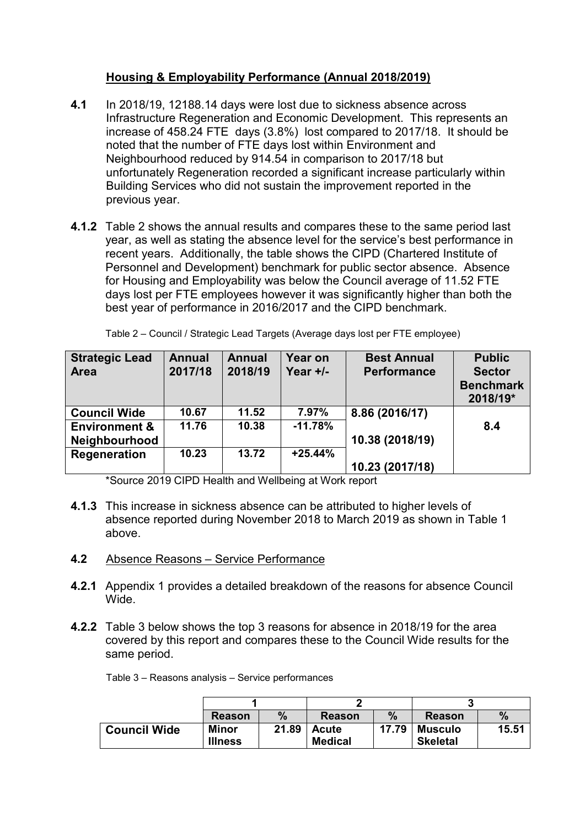# **Housing & Employability Performance (Annual 2018/2019)**

- **4.1** In 2018/19, 12188.14 days were lost due to sickness absence across Infrastructure Regeneration and Economic Development. This represents an increase of 458.24 FTE days (3.8%) lost compared to 2017/18. It should be noted that the number of FTE days lost within Environment and Neighbourhood reduced by 914.54 in comparison to 2017/18 but unfortunately Regeneration recorded a significant increase particularly within Building Services who did not sustain the improvement reported in the previous year.
- **4.1.2** Table 2 shows the annual results and compares these to the same period last year, as well as stating the absence level for the service's best performance in recent years. Additionally, the table shows the CIPD (Chartered Institute of Personnel and Development) benchmark for public sector absence. Absence for Housing and Employability was below the Council average of 11.52 FTE days lost per FTE employees however it was significantly higher than both the best year of performance in 2016/2017 and the CIPD benchmark.

| <b>Strategic Lead</b><br><b>Area</b> | <b>Annual</b><br>2017/18 | <b>Annual</b><br>2018/19 | Year on<br>Year $+/-$ | <b>Best Annual</b><br><b>Performance</b> | <b>Public</b><br><b>Sector</b><br><b>Benchmark</b><br>2018/19* |
|--------------------------------------|--------------------------|--------------------------|-----------------------|------------------------------------------|----------------------------------------------------------------|
| <b>Council Wide</b>                  | 10.67                    | 11.52                    | 7.97%                 | 8.86 (2016/17)                           |                                                                |
| <b>Environment &amp;</b>             | 11.76                    | 10.38                    | $-11.78%$             |                                          | 8.4                                                            |
| Neighbourhood                        |                          |                          |                       | 10.38 (2018/19)                          |                                                                |
| Regeneration                         | 10.23                    | 13.72                    | $+25.44%$             |                                          |                                                                |
|                                      |                          |                          |                       | 10.23 (2017/18)                          |                                                                |

Table 2 – Council / Strategic Lead Targets (Average days lost per FTE employee)

\*Source 2019 CIPD Health and Wellbeing at Work report

- **4.1.3** This increase in sickness absence can be attributed to higher levels of absence reported during November 2018 to March 2019 as shown in Table 1 above.
- **4.2** Absence Reasons Service Performance
- **4.2.1** Appendix 1 provides a detailed breakdown of the reasons for absence Council Wide.
- **4.2.2** Table 3 below shows the top 3 reasons for absence in 2018/19 for the area covered by this report and compares these to the Council Wide results for the same period.

| Table 3 - Reasons analysis - Service performances |
|---------------------------------------------------|
|---------------------------------------------------|

|                     | <b>Reason</b>           | $\%$  | <b>Reason</b>                  | $\%$  | <b>Reason</b>                     | $\%$  |
|---------------------|-------------------------|-------|--------------------------------|-------|-----------------------------------|-------|
| <b>Council Wide</b> | Minor<br><b>Illness</b> | 21.89 | <b>Acute</b><br><b>Medical</b> | 17.79 | <b>Musculo</b><br><b>Skeletal</b> | 15.51 |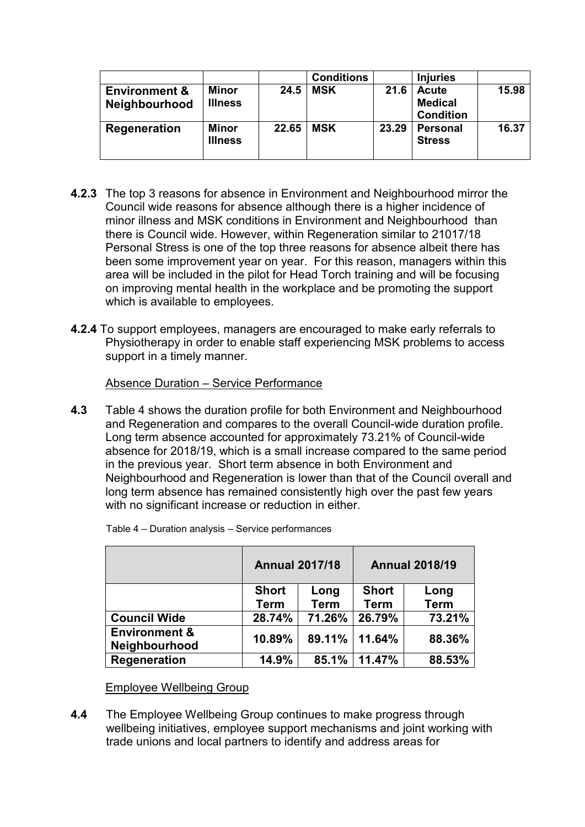|                                                  |                         |       | <b>Conditions</b> |       | <b>Injuries</b>                                    |       |
|--------------------------------------------------|-------------------------|-------|-------------------|-------|----------------------------------------------------|-------|
| <b>Environment &amp;</b><br><b>Neighbourhood</b> | Minor<br><b>Illness</b> | 24.5  | <b>MSK</b>        | 21.6  | <b>Acute</b><br><b>Medical</b><br><b>Condition</b> | 15.98 |
| Regeneration                                     | Minor<br><b>Illness</b> | 22.65 | <b>MSK</b>        | 23.29 | <b>Personal</b><br><b>Stress</b>                   | 16.37 |

- **4.2.3** The top 3 reasons for absence in Environment and Neighbourhood mirror the Council wide reasons for absence although there is a higher incidence of minor illness and MSK conditions in Environment and Neighbourhood than there is Council wide. However, within Regeneration similar to 21017/18 Personal Stress is one of the top three reasons for absence albeit there has been some improvement year on year. For this reason, managers within this area will be included in the pilot for Head Torch training and will be focusing on improving mental health in the workplace and be promoting the support which is available to employees.
- **4.2.4** To support employees, managers are encouraged to make early referrals to Physiotherapy in order to enable staff experiencing MSK problems to access support in a timely manner.

Absence Duration – Service Performance

**4.3** Table 4 shows the duration profile for both Environment and Neighbourhood and Regeneration and compares to the overall Council-wide duration profile. Long term absence accounted for approximately 73.21% of Council-wide absence for 2018/19, which is a small increase compared to the same period in the previous year. Short term absence in both Environment and Neighbourhood and Regeneration is lower than that of the Council overall and long term absence has remained consistently high over the past few years with no significant increase or reduction in either.

|                                           | <b>Annual 2017/18</b>       |                     | <b>Annual 2018/19</b>       |                     |  |
|-------------------------------------------|-----------------------------|---------------------|-----------------------------|---------------------|--|
|                                           | <b>Short</b><br><b>Term</b> | Long<br><b>Term</b> | <b>Short</b><br><b>Term</b> | Long<br><b>Term</b> |  |
| <b>Council Wide</b>                       | 28.74%                      | 71.26%              | 26.79%                      | 73.21%              |  |
| <b>Environment &amp;</b><br>Neighbourhood | 10.89%                      |                     | 89.11% 11.64%               | 88.36%              |  |
| Regeneration                              | 14.9%                       | 85.1%               | 11.47%                      | 88.53%              |  |

Table 4 – Duration analysis – Service performances

Employee Wellbeing Group

**4.4** The Employee Wellbeing Group continues to make progress through wellbeing initiatives, employee support mechanisms and joint working with trade unions and local partners to identify and address areas for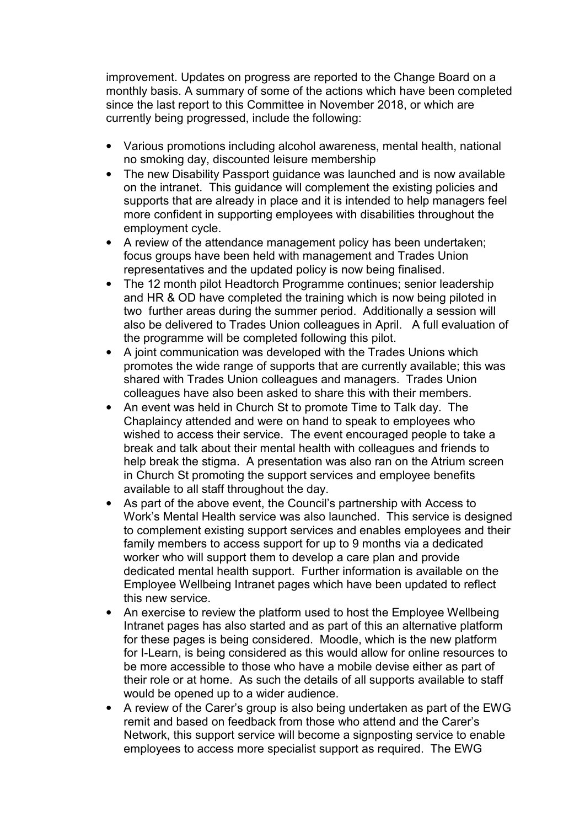improvement. Updates on progress are reported to the Change Board on a monthly basis. A summary of some of the actions which have been completed since the last report to this Committee in November 2018, or which are currently being progressed, include the following:

- Various promotions including alcohol awareness, mental health, national no smoking day, discounted leisure membership
- The new Disability Passport guidance was launched and is now available on the intranet. This guidance will complement the existing policies and supports that are already in place and it is intended to help managers feel more confident in supporting employees with disabilities throughout the employment cycle.
- A review of the attendance management policy has been undertaken; focus groups have been held with management and Trades Union representatives and the updated policy is now being finalised.
- The 12 month pilot Headtorch Programme continues; senior leadership and HR & OD have completed the training which is now being piloted in two further areas during the summer period. Additionally a session will also be delivered to Trades Union colleagues in April. A full evaluation of the programme will be completed following this pilot.
- A joint communication was developed with the Trades Unions which promotes the wide range of supports that are currently available; this was shared with Trades Union colleagues and managers. Trades Union colleagues have also been asked to share this with their members.
- An event was held in Church St to promote Time to Talk day. The Chaplaincy attended and were on hand to speak to employees who wished to access their service. The event encouraged people to take a break and talk about their mental health with colleagues and friends to help break the stigma. A presentation was also ran on the Atrium screen in Church St promoting the support services and employee benefits available to all staff throughout the day.
- As part of the above event, the Council's partnership with Access to Work's Mental Health service was also launched. This service is designed to complement existing support services and enables employees and their family members to access support for up to 9 months via a dedicated worker who will support them to develop a care plan and provide dedicated mental health support. Further information is available on the Employee Wellbeing Intranet pages which have been updated to reflect this new service.
- An exercise to review the platform used to host the Employee Wellbeing Intranet pages has also started and as part of this an alternative platform for these pages is being considered. Moodle, which is the new platform for I-Learn, is being considered as this would allow for online resources to be more accessible to those who have a mobile devise either as part of their role or at home. As such the details of all supports available to staff would be opened up to a wider audience.
- A review of the Carer's group is also being undertaken as part of the EWG remit and based on feedback from those who attend and the Carer's Network, this support service will become a signposting service to enable employees to access more specialist support as required. The EWG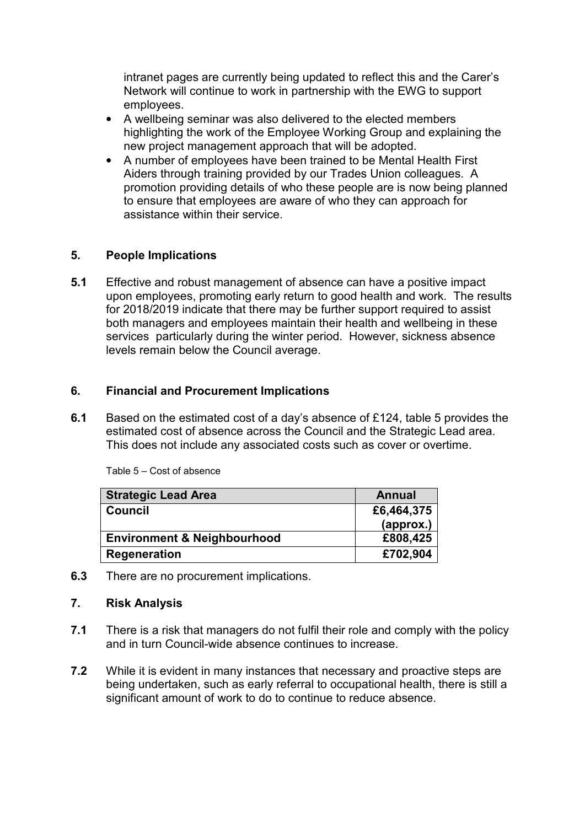intranet pages are currently being updated to reflect this and the Carer's Network will continue to work in partnership with the EWG to support employees.

- A wellbeing seminar was also delivered to the elected members highlighting the work of the Employee Working Group and explaining the new project management approach that will be adopted.
- A number of employees have been trained to be Mental Health First Aiders through training provided by our Trades Union colleagues. A promotion providing details of who these people are is now being planned to ensure that employees are aware of who they can approach for assistance within their service.

# **5. People Implications**

**5.1** Effective and robust management of absence can have a positive impact upon employees, promoting early return to good health and work. The results for 2018/2019 indicate that there may be further support required to assist both managers and employees maintain their health and wellbeing in these services particularly during the winter period. However, sickness absence levels remain below the Council average.

# **6. Financial and Procurement Implications**

**6.1** Based on the estimated cost of a day's absence of £124, table 5 provides the estimated cost of absence across the Council and the Strategic Lead area. This does not include any associated costs such as cover or overtime.

| <b>Strategic Lead Area</b>             | <b>Annual</b> |
|----------------------------------------|---------------|
| <b>Council</b>                         | £6,464,375    |
|                                        | (approx.)     |
| <b>Environment &amp; Neighbourhood</b> | £808,425      |
| Regeneration                           | £702,904      |

Table 5 – Cost of absence

**6.3** There are no procurement implications.

### **7. Risk Analysis**

- **7.1** There is a risk that managers do not fulfil their role and comply with the policy and in turn Council-wide absence continues to increase.
- **7.2** While it is evident in many instances that necessary and proactive steps are being undertaken, such as early referral to occupational health, there is still a significant amount of work to do to continue to reduce absence.